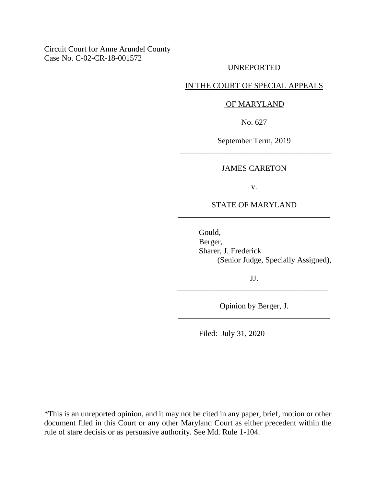Circuit Court for Anne Arundel County Case No. C-02-CR-18-001572

### UNREPORTED

## IN THE COURT OF SPECIAL APPEALS

#### OF MARYLAND

No. 627

September Term, 2019 \_\_\_\_\_\_\_\_\_\_\_\_\_\_\_\_\_\_\_\_\_\_\_\_\_\_\_\_\_\_\_\_\_\_\_\_\_\_

#### JAMES CARETON

v.

## STATE OF MARYLAND \_\_\_\_\_\_\_\_\_\_\_\_\_\_\_\_\_\_\_\_\_\_\_\_\_\_\_\_\_\_\_\_\_\_\_\_\_\_

Gould, Berger, Sharer, J. Frederick (Senior Judge, Specially Assigned),

JJ. \_\_\_\_\_\_\_\_\_\_\_\_\_\_\_\_\_\_\_\_\_\_\_\_\_\_\_\_\_\_\_\_\_\_\_\_\_\_

Opinion by Berger, J. \_\_\_\_\_\_\_\_\_\_\_\_\_\_\_\_\_\_\_\_\_\_\_\_\_\_\_\_\_\_\_\_\_\_\_\_\_\_

Filed: July 31, 2020

\*This is an unreported opinion, and it may not be cited in any paper, brief, motion or other document filed in this Court or any other Maryland Court as either precedent within the rule of stare decisis or as persuasive authority. See Md. Rule 1-104.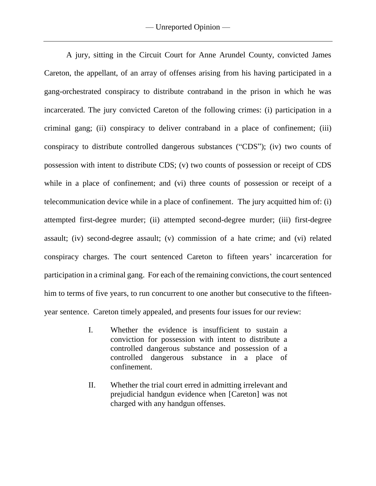A jury, sitting in the Circuit Court for Anne Arundel County, convicted James Careton, the appellant, of an array of offenses arising from his having participated in a gang-orchestrated conspiracy to distribute contraband in the prison in which he was incarcerated. The jury convicted Careton of the following crimes: (i) participation in a criminal gang; (ii) conspiracy to deliver contraband in a place of confinement; (iii) conspiracy to distribute controlled dangerous substances ("CDS"); (iv) two counts of possession with intent to distribute CDS; (v) two counts of possession or receipt of CDS while in a place of confinement; and (vi) three counts of possession or receipt of a telecommunication device while in a place of confinement. The jury acquitted him of: (i) attempted first-degree murder; (ii) attempted second-degree murder; (iii) first-degree assault; (iv) second-degree assault; (v) commission of a hate crime; and (vi) related conspiracy charges. The court sentenced Careton to fifteen years' incarceration for participation in a criminal gang. For each of the remaining convictions, the court sentenced him to terms of five years, to run concurrent to one another but consecutive to the fifteenyear sentence. Careton timely appealed, and presents four issues for our review:

- I. Whether the evidence is insufficient to sustain a conviction for possession with intent to distribute a controlled dangerous substance and possession of a controlled dangerous substance in a place of confinement.
- II. Whether the trial court erred in admitting irrelevant and prejudicial handgun evidence when [Careton] was not charged with any handgun offenses.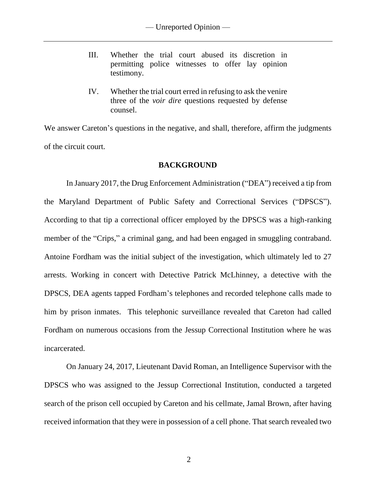- III. Whether the trial court abused its discretion in permitting police witnesses to offer lay opinion testimony.
- IV. Whether the trial court erred in refusing to ask the venire three of the *voir dire* questions requested by defense counsel.

We answer Careton's questions in the negative, and shall, therefore, affirm the judgments of the circuit court.

## **BACKGROUND**

In January 2017, the Drug Enforcement Administration ("DEA") received a tip from the Maryland Department of Public Safety and Correctional Services ("DPSCS"). According to that tip a correctional officer employed by the DPSCS was a high-ranking member of the "Crips," a criminal gang, and had been engaged in smuggling contraband. Antoine Fordham was the initial subject of the investigation, which ultimately led to 27 arrests. Working in concert with Detective Patrick McLhinney, a detective with the DPSCS, DEA agents tapped Fordham's telephones and recorded telephone calls made to him by prison inmates. This telephonic surveillance revealed that Careton had called Fordham on numerous occasions from the Jessup Correctional Institution where he was incarcerated.

On January 24, 2017, Lieutenant David Roman, an Intelligence Supervisor with the DPSCS who was assigned to the Jessup Correctional Institution, conducted a targeted search of the prison cell occupied by Careton and his cellmate, Jamal Brown, after having received information that they were in possession of a cell phone. That search revealed two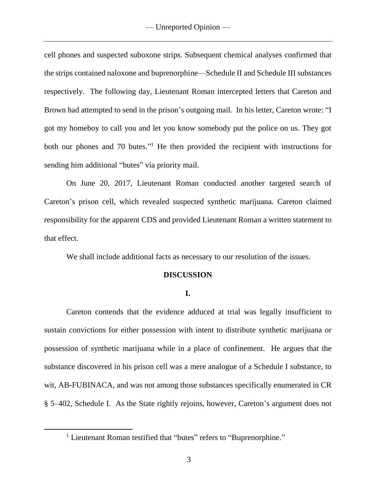cell phones and suspected suboxone strips. Subsequent chemical analyses confirmed that the strips contained naloxone and buprenorphine—Schedule II and Schedule III substances respectively. The following day, Lieutenant Roman intercepted letters that Careton and Brown had attempted to send in the prison's outgoing mail. In his letter, Careton wrote: "I got my homeboy to call you and let you know somebody put the police on us. They got both our phones and 70 butes."<sup>1</sup> He then provided the recipient with instructions for sending him additional "butes" via priority mail.

On June 20, 2017, Lieutenant Roman conducted another targeted search of Careton's prison cell, which revealed suspected synthetic marijuana. Careton claimed responsibility for the apparent CDS and provided Lieutenant Roman a written statement to that effect.

We shall include additional facts as necessary to our resolution of the issues.

## **DISCUSSION**

## **I.**

Careton contends that the evidence adduced at trial was legally insufficient to sustain convictions for either possession with intent to distribute synthetic marijuana or possession of synthetic marijuana while in a place of confinement. He argues that the substance discovered in his prison cell was a mere analogue of a Schedule I substance, to wit, AB-FUBINACA, and was not among those substances specifically enumerated in CR § 5–402, Schedule I. As the State rightly rejoins, however, Careton's argument does not

 $\overline{a}$ 

<sup>&</sup>lt;sup>1</sup> Lieutenant Roman testified that "butes" refers to "Buprenorphine."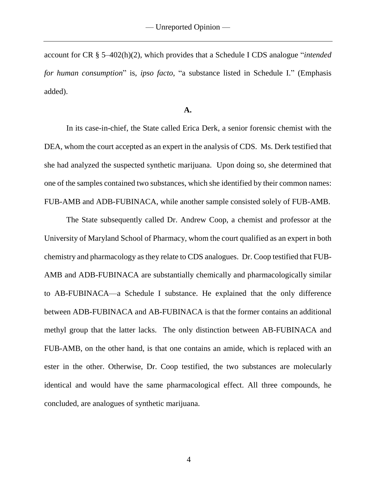account for CR § 5–402(h)(2), which provides that a Schedule I CDS analogue "*intended for human consumption*" is, *ipso facto*, "a substance listed in Schedule I." (Emphasis added).

#### **A.**

In its case-in-chief, the State called Erica Derk, a senior forensic chemist with the DEA, whom the court accepted as an expert in the analysis of CDS. Ms. Derk testified that she had analyzed the suspected synthetic marijuana. Upon doing so, she determined that one of the samples contained two substances, which she identified by their common names: FUB-AMB and ADB-FUBINACA, while another sample consisted solely of FUB-AMB.

The State subsequently called Dr. Andrew Coop, a chemist and professor at the University of Maryland School of Pharmacy, whom the court qualified as an expert in both chemistry and pharmacology as they relate to CDS analogues. Dr. Coop testified that FUB-AMB and ADB-FUBINACA are substantially chemically and pharmacologically similar to AB-FUBINACA—a Schedule I substance. He explained that the only difference between ADB-FUBINACA and AB-FUBINACA is that the former contains an additional methyl group that the latter lacks. The only distinction between AB-FUBINACA and FUB-AMB, on the other hand, is that one contains an amide, which is replaced with an ester in the other. Otherwise, Dr. Coop testified, the two substances are molecularly identical and would have the same pharmacological effect. All three compounds, he concluded, are analogues of synthetic marijuana.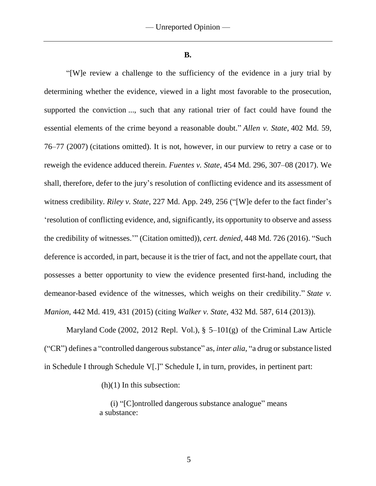**B.**

"[W]e review a challenge to the sufficiency of the evidence in a jury trial by determining whether the evidence, viewed in a light most favorable to the prosecution, supported the conviction ..., such that any rational trier of fact could have found the essential elements of the crime beyond a reasonable doubt." *Allen v. State*, 402 Md. 59, 76–77 (2007) (citations omitted). It is not, however, in our purview to retry a case or to reweigh the evidence adduced therein. *Fuentes v. State*, 454 Md. 296, 307–08 (2017). We shall, therefore, defer to the jury's resolution of conflicting evidence and its assessment of witness credibility. *Riley v. State*, 227 Md. App. 249, 256 ("[W]e defer to the fact finder's 'resolution of conflicting evidence, and, significantly, its opportunity to observe and assess the credibility of witnesses.'" (Citation omitted)), *cert. denied*, 448 Md. 726 (2016). "Such deference is accorded, in part, because it is the trier of fact, and not the appellate court, that possesses a better opportunity to view the evidence presented first-hand, including the demeanor-based evidence of the witnesses, which weighs on their credibility." *State v. Manion*, 442 Md. 419, 431 (2015) (citing *Walker v. State*, 432 Md. 587, 614 (2013)).

Maryland Code (2002, 2012 Repl. Vol.), § 5–101(g) of the Criminal Law Article ("CR") defines a "controlled dangerous substance" as, *inter alia*, "a drug or substance listed in Schedule I through Schedule V[.]" Schedule I, in turn, provides, in pertinent part:

(h)(1) In this subsection:

(i) "[C]ontrolled dangerous substance analogue" means a substance: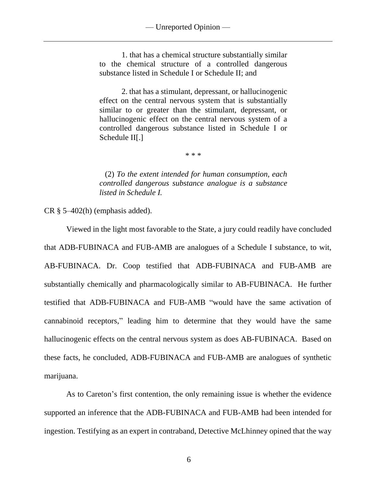1. that has a chemical structure substantially similar to the chemical structure of a controlled dangerous substance listed in Schedule I or Schedule II; and

2. that has a stimulant, depressant, or hallucinogenic effect on the central nervous system that is substantially similar to or greater than the stimulant, depressant, or hallucinogenic effect on the central nervous system of a controlled dangerous substance listed in Schedule I or Schedule II[.]

\* \* \*

(2) *To the extent intended for human consumption, each controlled dangerous substance analogue is a substance listed in Schedule I.*

CR  $\S$  5–402(h) (emphasis added).

Viewed in the light most favorable to the State, a jury could readily have concluded that ADB-FUBINACA and FUB-AMB are analogues of a Schedule I substance, to wit, AB-FUBINACA. Dr. Coop testified that ADB-FUBINACA and FUB-AMB are substantially chemically and pharmacologically similar to AB-FUBINACA. He further testified that ADB-FUBINACA and FUB-AMB "would have the same activation of cannabinoid receptors," leading him to determine that they would have the same hallucinogenic effects on the central nervous system as does AB-FUBINACA. Based on these facts, he concluded, ADB-FUBINACA and FUB-AMB are analogues of synthetic marijuana.

As to Careton's first contention, the only remaining issue is whether the evidence supported an inference that the ADB-FUBINACA and FUB-AMB had been intended for ingestion. Testifying as an expert in contraband, Detective McLhinney opined that the way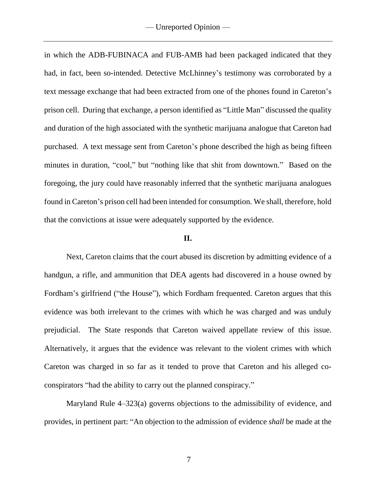in which the ADB-FUBINACA and FUB-AMB had been packaged indicated that they had, in fact, been so-intended. Detective McLhinney's testimony was corroborated by a text message exchange that had been extracted from one of the phones found in Careton's prison cell. During that exchange, a person identified as "Little Man" discussed the quality and duration of the high associated with the synthetic marijuana analogue that Careton had purchased. A text message sent from Careton's phone described the high as being fifteen minutes in duration, "cool," but "nothing like that shit from downtown." Based on the foregoing, the jury could have reasonably inferred that the synthetic marijuana analogues found in Careton's prison cell had been intended for consumption. We shall, therefore, hold that the convictions at issue were adequately supported by the evidence.

#### **II.**

Next, Careton claims that the court abused its discretion by admitting evidence of a handgun, a rifle, and ammunition that DEA agents had discovered in a house owned by Fordham's girlfriend ("the House"), which Fordham frequented. Careton argues that this evidence was both irrelevant to the crimes with which he was charged and was unduly prejudicial. The State responds that Careton waived appellate review of this issue. Alternatively, it argues that the evidence was relevant to the violent crimes with which Careton was charged in so far as it tended to prove that Careton and his alleged coconspirators "had the ability to carry out the planned conspiracy."

Maryland Rule 4–323(a) governs objections to the admissibility of evidence, and provides, in pertinent part: "An objection to the admission of evidence *shall* be made at the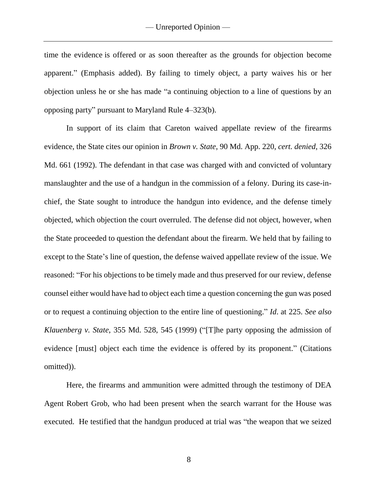time the evidence is offered or as soon thereafter as the grounds for objection become apparent." (Emphasis added). By failing to timely object, a party waives his or her objection unless he or she has made "a continuing objection to a line of questions by an opposing party" pursuant to Maryland Rule 4–323(b).

In support of its claim that Careton waived appellate review of the firearms evidence, the State cites our opinion in *Brown v. State*, 90 Md. App. 220, *cert. denied*, 326 Md. 661 (1992). The defendant in that case was charged with and convicted of voluntary manslaughter and the use of a handgun in the commission of a felony. During its case-inchief, the State sought to introduce the handgun into evidence, and the defense timely objected, which objection the court overruled. The defense did not object, however, when the State proceeded to question the defendant about the firearm. We held that by failing to except to the State's line of question, the defense waived appellate review of the issue. We reasoned: "For his objections to be timely made and thus preserved for our review, defense counsel either would have had to object each time a question concerning the gun was posed or to request a continuing objection to the entire line of questioning." *Id*. at 225. *See also Klauenberg v. State*, 355 Md. 528, 545 (1999) ("[T]he party opposing the admission of evidence [must] object each time the evidence is offered by its proponent." (Citations omitted)).

Here, the firearms and ammunition were admitted through the testimony of DEA Agent Robert Grob, who had been present when the search warrant for the House was executed. He testified that the handgun produced at trial was "the weapon that we seized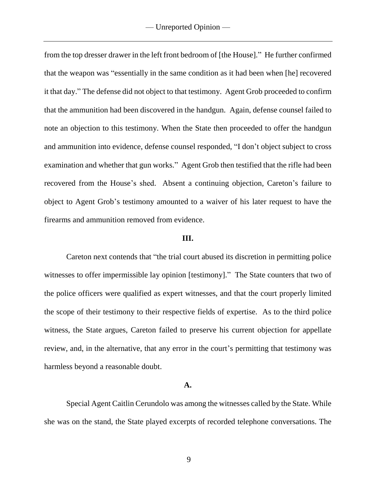from the top dresser drawer in the left front bedroom of [the House]." He further confirmed that the weapon was "essentially in the same condition as it had been when [he] recovered it that day." The defense did not object to that testimony. Agent Grob proceeded to confirm that the ammunition had been discovered in the handgun. Again, defense counsel failed to note an objection to this testimony. When the State then proceeded to offer the handgun and ammunition into evidence, defense counsel responded, "I don't object subject to cross examination and whether that gun works." Agent Grob then testified that the rifle had been recovered from the House's shed.Absent a continuing objection, Careton's failure to object to Agent Grob's testimony amounted to a waiver of his later request to have the firearms and ammunition removed from evidence.

### **III.**

Careton next contends that "the trial court abused its discretion in permitting police witnesses to offer impermissible lay opinion [testimony]." The State counters that two of the police officers were qualified as expert witnesses, and that the court properly limited the scope of their testimony to their respective fields of expertise. As to the third police witness, the State argues, Careton failed to preserve his current objection for appellate review, and, in the alternative, that any error in the court's permitting that testimony was harmless beyond a reasonable doubt.

#### **A.**

Special Agent Caitlin Cerundolo was among the witnesses called by the State. While she was on the stand, the State played excerpts of recorded telephone conversations. The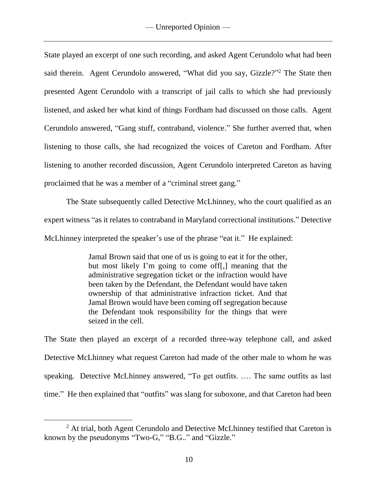State played an excerpt of one such recording, and asked Agent Cerundolo what had been said therein. Agent Cerundolo answered, "What did you say, Gizzle?"<sup>2</sup> The State then presented Agent Cerundolo with a transcript of jail calls to which she had previously listened, and asked her what kind of things Fordham had discussed on those calls. Agent Cerundolo answered, "Gang stuff, contraband, violence." She further averred that, when listening to those calls, she had recognized the voices of Careton and Fordham. After listening to another recorded discussion, Agent Cerundolo interpreted Careton as having proclaimed that he was a member of a "criminal street gang."

The State subsequently called Detective McLhinney, who the court qualified as an expert witness "as it relates to contraband in Maryland correctional institutions." Detective McLhinney interpreted the speaker's use of the phrase "eat it." He explained:

> Jamal Brown said that one of us is going to eat it for the other, but most likely I'm going to come off[,] meaning that the administrative segregation ticket or the infraction would have been taken by the Defendant, the Defendant would have taken ownership of that administrative infraction ticket. And that Jamal Brown would have been coming off segregation because the Defendant took responsibility for the things that were seized in the cell.

The State then played an excerpt of a recorded three-way telephone call, and asked Detective McLhinney what request Careton had made of the other male to whom he was speaking. Detective McLhinney answered, "To get outfits. …. The same outfits as last time." He then explained that "outfits" was slang for suboxone, and that Careton had been

 $\overline{a}$ 

<sup>&</sup>lt;sup>2</sup> At trial, both Agent Cerundolo and Detective McLhinney testified that Careton is known by the pseudonyms "Two-G," "B.G.." and "Gizzle."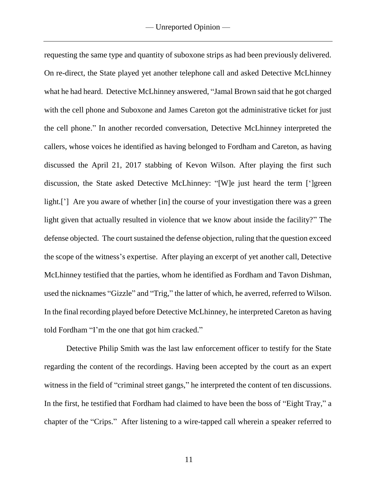requesting the same type and quantity of suboxone strips as had been previously delivered. On re-direct, the State played yet another telephone call and asked Detective McLhinney what he had heard. Detective McLhinney answered, "Jamal Brown said that he got charged with the cell phone and Suboxone and James Careton got the administrative ticket for just the cell phone." In another recorded conversation, Detective McLhinney interpreted the callers, whose voices he identified as having belonged to Fordham and Careton, as having discussed the April 21, 2017 stabbing of Kevon Wilson. After playing the first such discussion, the State asked Detective McLhinney: "[W]e just heard the term [']green light.['] Are you aware of whether [in] the course of your investigation there was a green light given that actually resulted in violence that we know about inside the facility?" The defense objected. The court sustained the defense objection, ruling that the question exceed the scope of the witness's expertise. After playing an excerpt of yet another call, Detective McLhinney testified that the parties, whom he identified as Fordham and Tavon Dishman, used the nicknames "Gizzle" and "Trig," the latter of which, he averred, referred to Wilson. In the final recording played before Detective McLhinney, he interpreted Careton as having told Fordham "I'm the one that got him cracked."

Detective Philip Smith was the last law enforcement officer to testify for the State regarding the content of the recordings. Having been accepted by the court as an expert witness in the field of "criminal street gangs," he interpreted the content of ten discussions. In the first, he testified that Fordham had claimed to have been the boss of "Eight Tray," a chapter of the "Crips." After listening to a wire-tapped call wherein a speaker referred to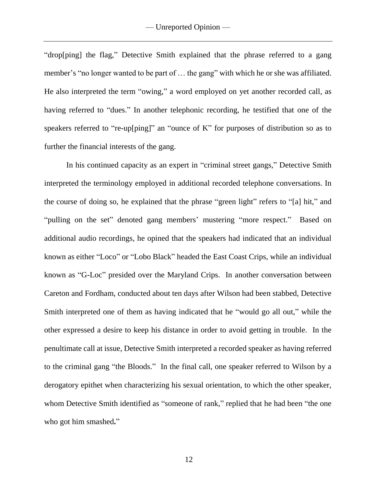"drop[ping] the flag," Detective Smith explained that the phrase referred to a gang member's "no longer wanted to be part of … the gang" with which he or she was affiliated. He also interpreted the term "owing," a word employed on yet another recorded call, as having referred to "dues." In another telephonic recording, he testified that one of the speakers referred to "re-up[ping]" an "ounce of K" for purposes of distribution so as to further the financial interests of the gang.

In his continued capacity as an expert in "criminal street gangs," Detective Smith interpreted the terminology employed in additional recorded telephone conversations. In the course of doing so, he explained that the phrase "green light" refers to "[a] hit," and "pulling on the set" denoted gang members' mustering "more respect." Based on additional audio recordings, he opined that the speakers had indicated that an individual known as either "Loco" or "Lobo Black" headed the East Coast Crips, while an individual known as "G-Loc" presided over the Maryland Crips. In another conversation between Careton and Fordham, conducted about ten days after Wilson had been stabbed, Detective Smith interpreted one of them as having indicated that he "would go all out," while the other expressed a desire to keep his distance in order to avoid getting in trouble. In the penultimate call at issue, Detective Smith interpreted a recorded speaker as having referred to the criminal gang "the Bloods." In the final call, one speaker referred to Wilson by a derogatory epithet when characterizing his sexual orientation, to which the other speaker, whom Detective Smith identified as "someone of rank," replied that he had been "the one who got him smashed**.**"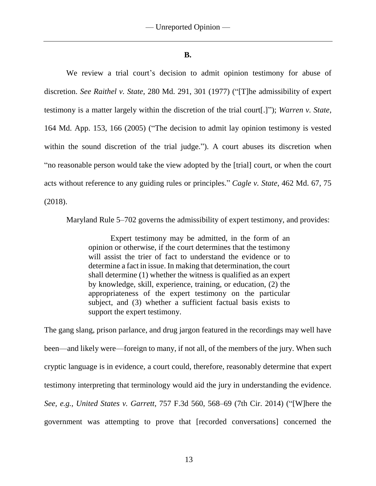#### **B.**

We review a trial court's decision to admit opinion testimony for abuse of discretion. *See Raithel v. State*, 280 Md. 291, 301 (1977) ("[T]he admissibility of expert testimony is a matter largely within the discretion of the trial court[.]"); *Warren v. State*, 164 Md. App. 153, 166 (2005) ("The decision to admit lay opinion testimony is vested within the sound discretion of the trial judge."). A court abuses its discretion when "no reasonable person would take the view adopted by the [trial] court, or when the court acts without reference to any guiding rules or principles." *Cagle v. State*, 462 Md. 67, 75 (2018).

Maryland Rule 5–702 governs the admissibility of expert testimony, and provides:

Expert testimony may be admitted, in the form of an opinion or otherwise, if the court determines that the testimony will assist the trier of fact to understand the evidence or to determine a fact in issue. In making that determination, the court shall determine (1) whether the witness is qualified as an expert by knowledge, skill, experience, training, or education, (2) the appropriateness of the expert testimony on the particular subject, and (3) whether a sufficient factual basis exists to support the expert testimony.

The gang slang, prison parlance, and drug jargon featured in the recordings may well have been—and likely were—foreign to many, if not all, of the members of the jury. When such cryptic language is in evidence, a court could, therefore, reasonably determine that expert testimony interpreting that terminology would aid the jury in understanding the evidence. *See, e.g., United States v. Garrett*, 757 F.3d 560, 568–69 (7th Cir. 2014) ("[W]here the government was attempting to prove that [recorded conversations] concerned the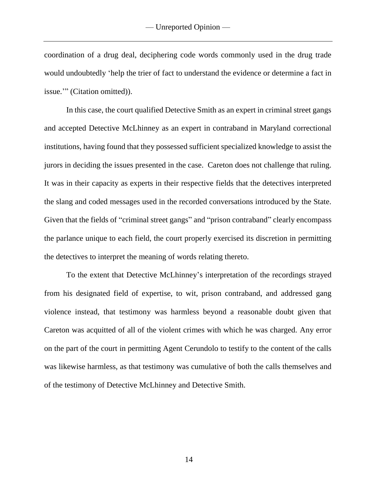coordination of a drug deal, deciphering code words commonly used in the drug trade would undoubtedly 'help the trier of fact to understand the evidence or determine a fact in issue.'" (Citation omitted)).

In this case, the court qualified Detective Smith as an expert in criminal street gangs and accepted Detective McLhinney as an expert in contraband in Maryland correctional institutions, having found that they possessed sufficient specialized knowledge to assist the jurors in deciding the issues presented in the case. Careton does not challenge that ruling. It was in their capacity as experts in their respective fields that the detectives interpreted the slang and coded messages used in the recorded conversations introduced by the State. Given that the fields of "criminal street gangs" and "prison contraband" clearly encompass the parlance unique to each field, the court properly exercised its discretion in permitting the detectives to interpret the meaning of words relating thereto.

To the extent that Detective McLhinney's interpretation of the recordings strayed from his designated field of expertise, to wit, prison contraband, and addressed gang violence instead, that testimony was harmless beyond a reasonable doubt given that Careton was acquitted of all of the violent crimes with which he was charged. Any error on the part of the court in permitting Agent Cerundolo to testify to the content of the calls was likewise harmless, as that testimony was cumulative of both the calls themselves and of the testimony of Detective McLhinney and Detective Smith.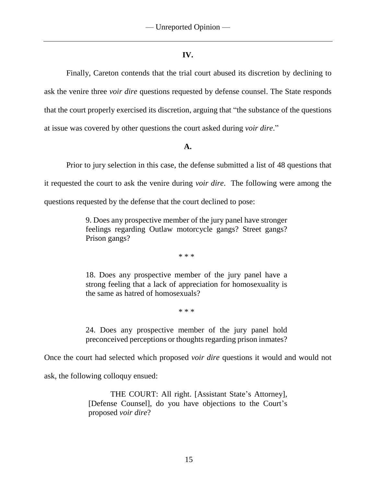# **IV.**

Finally, Careton contends that the trial court abused its discretion by declining to ask the venire three *voir dire* questions requested by defense counsel. The State responds that the court properly exercised its discretion, arguing that "the substance of the questions at issue was covered by other questions the court asked during *voir dire*."

# **A.**

Prior to jury selection in this case, the defense submitted a list of 48 questions that it requested the court to ask the venire during *voir dire*.The following were among the questions requested by the defense that the court declined to pose:

> 9. Does any prospective member of the jury panel have stronger feelings regarding Outlaw motorcycle gangs? Street gangs? Prison gangs?

> > \* \* \*

18. Does any prospective member of the jury panel have a strong feeling that a lack of appreciation for homosexuality is the same as hatred of homosexuals?

\* \* \*

24. Does any prospective member of the jury panel hold preconceived perceptions or thoughts regarding prison inmates?

Once the court had selected which proposed *voir dire* questions it would and would not

ask, the following colloquy ensued:

THE COURT: All right. [Assistant State's Attorney], [Defense Counsel], do you have objections to the Court's proposed *voir dire*?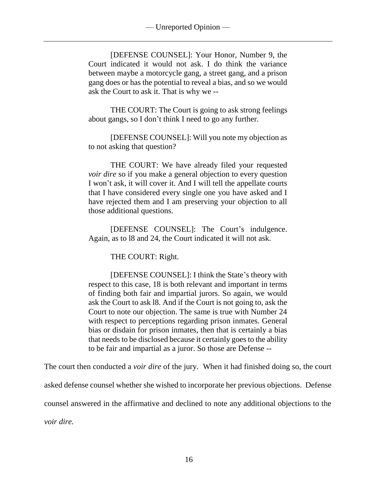[DEFENSE COUNSEL]: Your Honor, Number 9, the Court indicated it would not ask. I do think the variance between maybe a motorcycle gang, a street gang, and a prison gang does or has the potential to reveal a bias, and so we would ask the Court to ask it. That is why we --

THE COURT: The Court is going to ask strong feelings about gangs, so I don't think I need to go any further.

[DEFENSE COUNSEL]: Will you note my objection as to not asking that question?

THE COURT: We have already filed your requested *voir dire* so if you make a general objection to every question I won't ask, it will cover it. And I will tell the appellate courts that I have considered every single one you have asked and I have rejected them and I am preserving your objection to all those additional questions.

[DEFENSE COUNSEL]: The Court's indulgence. Again, as to l8 and 24, the Court indicated it will not ask.

THE COURT: Right.

[DEFENSE COUNSEL]: I think the State's theory with respect to this case, 18 is both relevant and important in terms of finding both fair and impartial jurors. So again, we would ask the Court to ask l8. And if the Court is not going to, ask the Court to note our objection. The same is true with Number 24 with respect to perceptions regarding prison inmates. General bias or disdain for prison inmates, then that is certainly a bias that needs to be disclosed because it certainly goes to the ability to be fair and impartial as a juror. So those are Defense --

The court then conducted a *voir dire* of the jury. When it had finished doing so, the court asked defense counsel whether she wished to incorporate her previous objections. Defense counsel answered in the affirmative and declined to note any additional objections to the *voir dire.*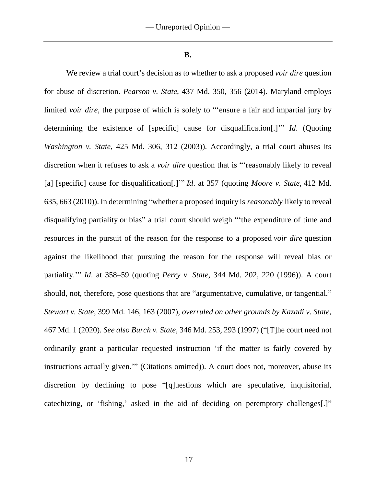**B.**

We review a trial court's decision as to whether to ask a proposed *voir dire* question for abuse of discretion. *Pearson v. State*, 437 Md. 350, 356 (2014). Maryland employs limited *voir dire*, the purpose of which is solely to "'ensure a fair and impartial jury by determining the existence of [specific] cause for disqualification[.]'" *Id*. (Quoting *Washington v. State*, 425 Md. 306, 312 (2003)). Accordingly, a trial court abuses its discretion when it refuses to ask a *voir dire* question that is "'reasonably likely to reveal [a] [specific] cause for disqualification[.]'" *Id*. at 357 (quoting *Moore v. State*, 412 Md. 635, 663 (2010)). In determining "whether a proposed inquiry is *reasonably* likely to reveal disqualifying partiality or bias" a trial court should weigh "'the expenditure of time and resources in the pursuit of the reason for the response to a proposed *voir dire* question against the likelihood that pursuing the reason for the response will reveal bias or partiality.'" *Id*. at 358–59 (quoting *Perry v. State*, 344 Md. 202, 220 (1996)). A court should, not, therefore, pose questions that are "argumentative, cumulative, or tangential." *Stewart v. State*, 399 Md. 146, 163 (2007), *overruled on other grounds by Kazadi v. State*, 467 Md. 1 (2020). *See also Burch v. State*, 346 Md. 253, 293 (1997) ("[T]he court need not ordinarily grant a particular requested instruction 'if the matter is fairly covered by instructions actually given.'" (Citations omitted)). A court does not, moreover, abuse its discretion by declining to pose "[q]uestions which are speculative, inquisitorial, catechizing, or 'fishing,' asked in the aid of deciding on peremptory challenges[.]"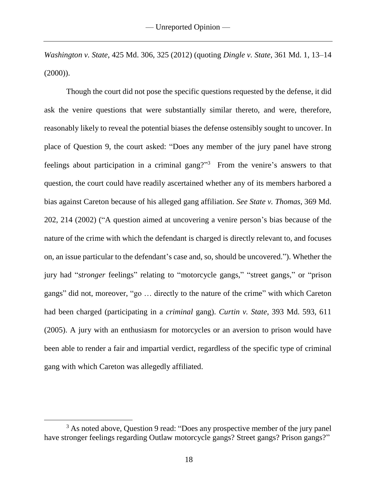*Washington v. State*, 425 Md. 306, 325 (2012) (quoting *Dingle v. State*, 361 Md. 1, 13–14  $(2000)$ ).

Though the court did not pose the specific questions requested by the defense, it did ask the venire questions that were substantially similar thereto, and were, therefore, reasonably likely to reveal the potential biases the defense ostensibly sought to uncover. In place of Question 9, the court asked: "Does any member of the jury panel have strong feelings about participation in a criminal gang?"<sup>3</sup> From the venire's answers to that question, the court could have readily ascertained whether any of its members harbored a bias against Careton because of his alleged gang affiliation. *See State v. Thomas*, 369 Md. 202, 214 (2002) ("A question aimed at uncovering a venire person's bias because of the nature of the crime with which the defendant is charged is directly relevant to, and focuses on, an issue particular to the defendant's case and, so, should be uncovered."). Whether the jury had "*stronger* feelings" relating to "motorcycle gangs," "street gangs," or "prison gangs" did not, moreover, "go … directly to the nature of the crime" with which Careton had been charged (participating in a *criminal* gang). *Curtin v. State*, 393 Md. 593, 611 (2005). A jury with an enthusiasm for motorcycles or an aversion to prison would have been able to render a fair and impartial verdict, regardless of the specific type of criminal gang with which Careton was allegedly affiliated.

 $\overline{a}$ 

<sup>&</sup>lt;sup>3</sup> As noted above. Ouestion 9 read: "Does any prospective member of the jury panel have stronger feelings regarding Outlaw motorcycle gangs? Street gangs? Prison gangs?"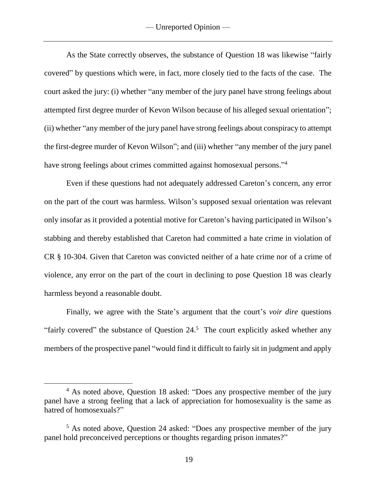As the State correctly observes, the substance of Question 18 was likewise "fairly covered" by questions which were, in fact, more closely tied to the facts of the case. The court asked the jury: (i) whether "any member of the jury panel have strong feelings about attempted first degree murder of Kevon Wilson because of his alleged sexual orientation"; (ii) whether "any member of the jury panel have strong feelings about conspiracy to attempt the first-degree murder of Kevon Wilson"; and (iii) whether "any member of the jury panel have strong feelings about crimes committed against homosexual persons."<sup>4</sup>

Even if these questions had not adequately addressed Careton's concern, any error on the part of the court was harmless. Wilson's supposed sexual orientation was relevant only insofar as it provided a potential motive for Careton's having participated in Wilson's stabbing and thereby established that Careton had committed a hate crime in violation of CR § 10**-**304. Given that Careton was convicted neither of a hate crime nor of a crime of violence, any error on the part of the court in declining to pose Question 18 was clearly harmless beyond a reasonable doubt.

Finally, we agree with the State's argument that the court's *voir dire* questions "fairly covered" the substance of Question  $24.5$  The court explicitly asked whether any members of the prospective panel "would find it difficult to fairly sit in judgment and apply

 $\overline{a}$ 

<sup>&</sup>lt;sup>4</sup> As noted above, Question 18 asked: "Does any prospective member of the jury panel have a strong feeling that a lack of appreciation for homosexuality is the same as hatred of homosexuals?"

<sup>5</sup> As noted above, Question 24 asked: "Does any prospective member of the jury panel hold preconceived perceptions or thoughts regarding prison inmates?"